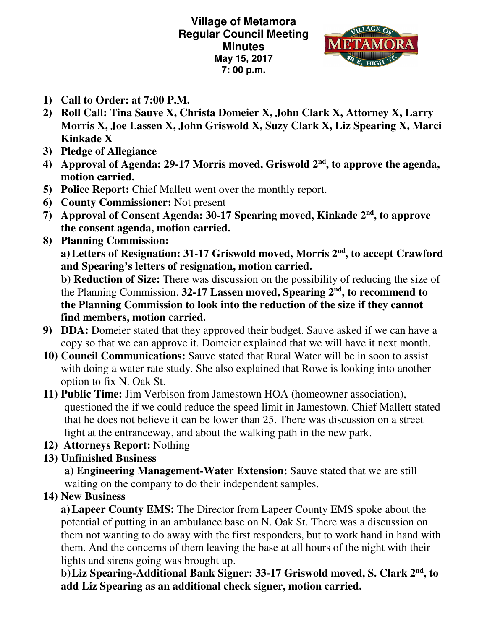**Village of Metamora Regular Council Meeting Minutes May 15, 2017 7: 00 p.m.** 



- **1) Call to Order: at 7:00 P.M.**
- **2) Roll Call: Tina Sauve X, Christa Domeier X, John Clark X, Attorney X, Larry Morris X, Joe Lassen X, John Griswold X, Suzy Clark X, Liz Spearing X, Marci Kinkade X**
- **3) Pledge of Allegiance**
- **4) Approval of Agenda: 29-17 Morris moved, Griswold 2nd, to approve the agenda, motion carried.**
- **5) Police Report:** Chief Mallett went over the monthly report.
- **6) County Commissioner:** Not present
- **7) Approval of Consent Agenda: 30-17 Spearing moved, Kinkade 2nd, to approve the consent agenda, motion carried.**
- **8) Planning Commission:**

 **a) Letters of Resignation: 31-17 Griswold moved, Morris 2nd, to accept Crawford and Spearing's letters of resignation, motion carried.** 

 **b) Reduction of Size:** There was discussion on the possibility of reducing the size of the Planning Commission. **32-17 Lassen moved, Spearing 2nd, to recommend to the Planning Commission to look into the reduction of the size if they cannot find members, motion carried.** 

- **9) DDA:** Domeier stated that they approved their budget. Sauve asked if we can have a copy so that we can approve it. Domeier explained that we will have it next month.
- **10) Council Communications:** Sauve stated that Rural Water will be in soon to assist with doing a water rate study. She also explained that Rowe is looking into another option to fix N. Oak St.
- **11) Public Time:** Jim Verbison from Jamestown HOA (homeowner association), questioned the if we could reduce the speed limit in Jamestown. Chief Mallett stated that he does not believe it can be lower than 25. There was discussion on a street light at the entranceway, and about the walking path in the new park.
- **12) Attorneys Report:** Nothing
- **13) Unfinished Business**

**a) Engineering Management-Water Extension:** Sauve stated that we are still waiting on the company to do their independent samples.

**14) New Business** 

**a)Lapeer County EMS:** The Director from Lapeer County EMS spoke about the potential of putting in an ambulance base on N. Oak St. There was a discussion on them not wanting to do away with the first responders, but to work hand in hand with them. And the concerns of them leaving the base at all hours of the night with their lights and sirens going was brought up.

**b)Liz Spearing-Additional Bank Signer: 33-17 Griswold moved, S. Clark 2nd, to add Liz Spearing as an additional check signer, motion carried.**